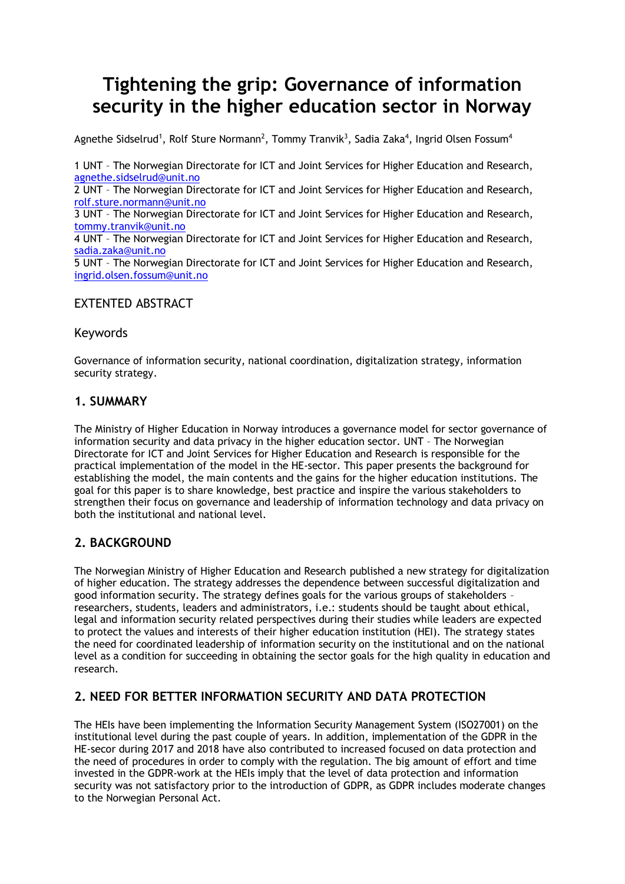# **Tightening the grip: Governance of information security in the higher education sector in Norway**

Agnethe Sidselrud<sup>1</sup>, Rolf Sture Normann<sup>2</sup>, Tommy Tranvik<sup>3</sup>, Sadia Zaka<sup>4</sup>, Ingrid Olsen Fossum<sup>4</sup>

1 UNT – The Norwegian Directorate for ICT and Joint Services for Higher Education and Research, [agnethe.sidselrud@unit.no](mailto:agnethe.sidselrud@unit.no) 2 UNT – The Norwegian Directorate for ICT and Joint Services for Higher Education and Research, [rolf.sture.normann@unit.no](mailto:rolf.sture.normann@unit.no) 3 UNT – The Norwegian Directorate for ICT and Joint Services for Higher Education and Research, [tommy.tranvik@unit.no](mailto:tommy.tranvik@unit.no) 4 UNT – The Norwegian Directorate for ICT and Joint Services for Higher Education and Research, [sadia.zaka@unit.no](mailto:sadia.zaka@unit.no) 5 UNT – The Norwegian Directorate for ICT and Joint Services for Higher Education and Research, [ingrid.olsen.fossum@unit.no](mailto:ingrid.olsen.fossum@unit.no)

## EXTENTED ABSTRACT

#### Keywords

Governance of information security, national coordination, digitalization strategy, information security strategy.

#### **1. SUMMARY**

The Ministry of Higher Education in Norway introduces a governance model for sector governance of information security and data privacy in the higher education sector. UNT – The Norwegian Directorate for ICT and Joint Services for Higher Education and Research is responsible for the practical implementation of the model in the HE-sector. This paper presents the background for establishing the model, the main contents and the gains for the higher education institutions. The goal for this paper is to share knowledge, best practice and inspire the various stakeholders to strengthen their focus on governance and leadership of information technology and data privacy on both the institutional and national level.

## **2. BACKGROUND**

The Norwegian Ministry of Higher Education and Research published a new strategy for digitalization of higher education. The strategy addresses the dependence between successful digitalization and good information security. The strategy defines goals for the various groups of stakeholders – researchers, students, leaders and administrators, i.e.: students should be taught about ethical, legal and information security related perspectives during their studies while leaders are expected to protect the values and interests of their higher education institution (HEI). The strategy states the need for coordinated leadership of information security on the institutional and on the national level as a condition for succeeding in obtaining the sector goals for the high quality in education and research.

## **2. NEED FOR BETTER INFORMATION SECURITY AND DATA PROTECTION**

The HEIs have been implementing the Information Security Management System (ISO27001) on the institutional level during the past couple of years. In addition, implementation of the GDPR in the HE-secor during 2017 and 2018 have also contributed to increased focused on data protection and the need of procedures in order to comply with the regulation. The big amount of effort and time invested in the GDPR-work at the HEIs imply that the level of data protection and information security was not satisfactory prior to the introduction of GDPR, as GDPR includes moderate changes to the Norwegian Personal Act.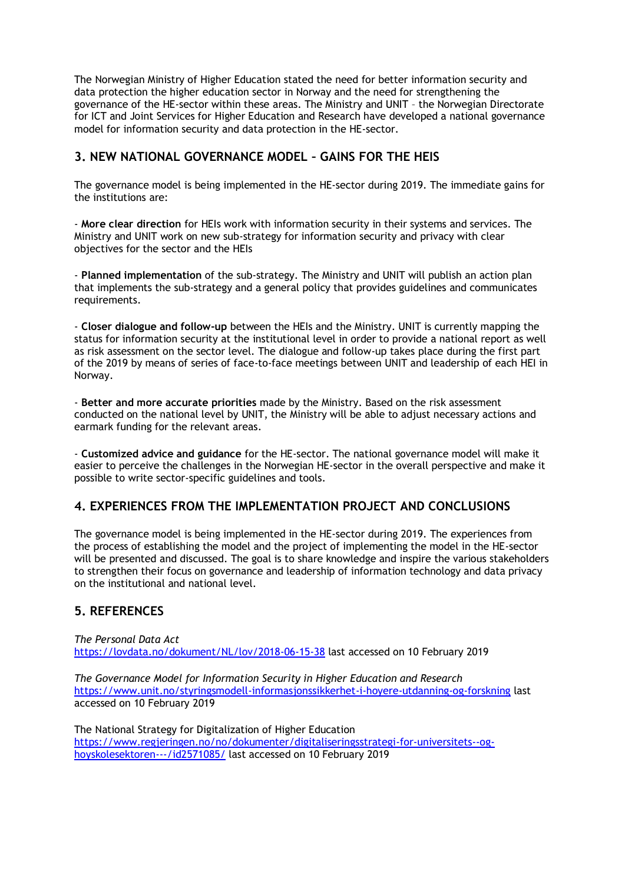The Norwegian Ministry of Higher Education stated the need for better information security and data protection the higher education sector in Norway and the need for strengthening the governance of the HE-sector within these areas. The Ministry and UNIT – the Norwegian Directorate for ICT and Joint Services for Higher Education and Research have developed a national governance model for information security and data protection in the HE-sector.

#### **3. NEW NATIONAL GOVERNANCE MODEL – GAINS FOR THE HEIS**

The governance model is being implemented in the HE-sector during 2019. The immediate gains for the institutions are:

- **More clear direction** for HEIs work with information security in their systems and services. The Ministry and UNIT work on new sub-strategy for information security and privacy with clear objectives for the sector and the HEIs

- **Planned implementation** of the sub-strategy. The Ministry and UNIT will publish an action plan that implements the sub-strategy and a general policy that provides guidelines and communicates requirements.

- **Closer dialogue and follow-up** between the HEIs and the Ministry. UNIT is currently mapping the status for information security at the institutional level in order to provide a national report as well as risk assessment on the sector level. The dialogue and follow-up takes place during the first part of the 2019 by means of series of face-to-face meetings between UNIT and leadership of each HEI in Norway.

- **Better and more accurate priorities** made by the Ministry. Based on the risk assessment conducted on the national level by UNIT, the Ministry will be able to adjust necessary actions and earmark funding for the relevant areas.

- **Customized advice and guidance** for the HE-sector. The national governance model will make it easier to perceive the challenges in the Norwegian HE-sector in the overall perspective and make it possible to write sector-specific guidelines and tools.

## **4. EXPERIENCES FROM THE IMPLEMENTATION PROJECT AND CONCLUSIONS**

The governance model is being implemented in the HE-sector during 2019. The experiences from the process of establishing the model and the project of implementing the model in the HE-sector will be presented and discussed. The goal is to share knowledge and inspire the various stakeholders to strengthen their focus on governance and leadership of information technology and data privacy on the institutional and national level.

## **5. REFERENCES**

*The Personal Data Act* <https://lovdata.no/dokument/NL/lov/2018-06-15-38> last accessed on 10 February 2019

*The Governance Model for Information Security in Higher Education and Research* <https://www.unit.no/styringsmodell-informasjonssikkerhet-i-hoyere-utdanning-og-forskning> last accessed on 10 February 2019

The National Strategy for Digitalization of Higher Education [https://www.regjeringen.no/no/dokumenter/digitaliseringsstrategi-for-universitets--og](https://www.regjeringen.no/no/dokumenter/digitaliseringsstrategi-for-universitets--og-hoyskolesektoren---/id2571085/)[hoyskolesektoren---/id2571085/](https://www.regjeringen.no/no/dokumenter/digitaliseringsstrategi-for-universitets--og-hoyskolesektoren---/id2571085/) last accessed on 10 February 2019